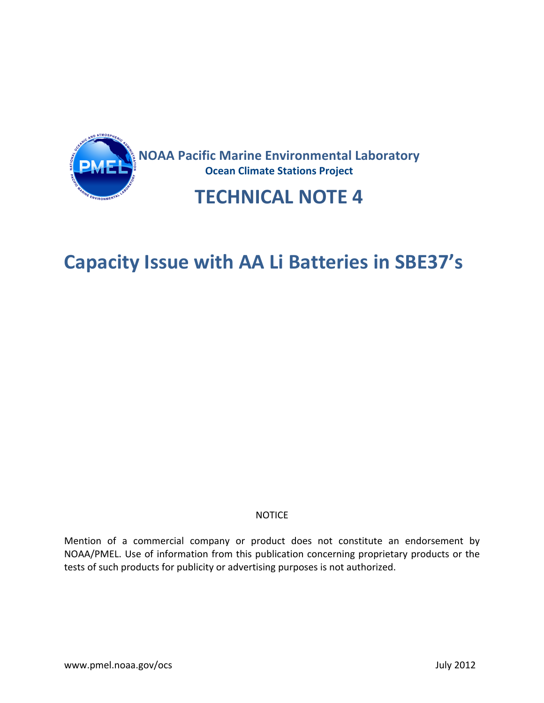

## **Capacity Issue with AA Li Batteries in SBE37's**

#### NOTICE

Mention of a commercial company or product does not constitute an endorsement by NOAA/PMEL. Use of information from this publication concerning proprietary products or the tests of such products for publicity or advertising purposes is not authorized.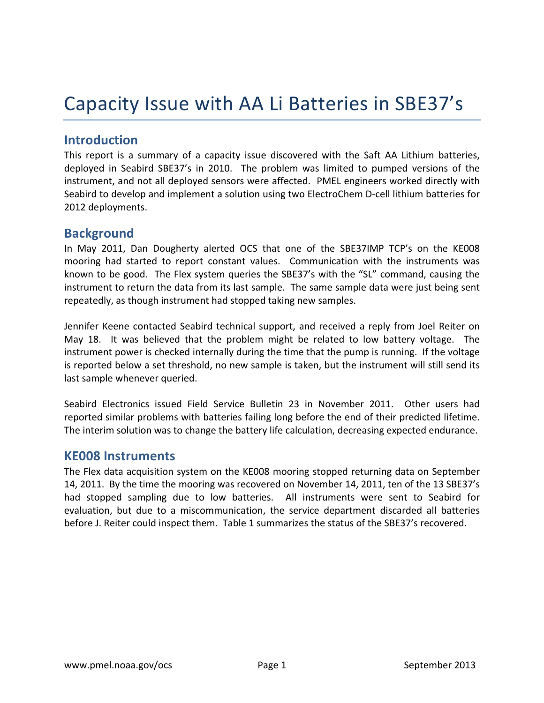# Capacity Issue with AA Li Batteries in SBE37's

## **Introduction**

This report is a summary of a capacity issue discovered with the Saft AA Lithium batteries, deployed in Seabird SBE37's in 2010. The problem was limited to pumped versions of the instrument, and not all deployed sensors were affected. PMEL engineers worked directly with Seabird to develop and implement a solution using two ElectroChem D-cell lithium batteries for 2012 deployments.

### **Background**

In May 2011, Dan Dougherty alerted OCS that one of the SBE37IMP TCP's on the KE008 mooring had started to report constant values. Communication with the instruments was known to be good. The Flex system queries the SBE37's with the "SL" command, causing the instrument to return the data from its last sample. The same sample data were just being sent repeatedly, as though instrument had stopped taking new samples.

Jennifer Keene contacted Seabird technical support, and received a reply from Joel Reiter on May 18. It was believed that the problem might be related to low battery voltage. The instrument power is checked internally during the time that the pump is running. If the voltage is reported below a set threshold, no new sample is taken, but the instrument will still send its last sample whenever queried.

Seabird Electronics issued Field Service Bulletin 23 in November 2011. Other users had reported similar problems with batteries failing long before the end of their predicted lifetime. The interim solution was to change the battery life calculation, decreasing expected endurance.

#### **KE008!Instruments**

The Flex data acquisition system on the KE008 mooring stopped returning data on September 14, 2011. By the time the mooring was recovered on November 14, 2011, ten of the 13 SBE37's had stopped sampling due to low batteries. All instruments were sent to Seabird for evaluation, but due to a miscommunication, the service department discarded all batteries before J. Reiter could inspect them. Table 1 summarizes the status of the SBE37's recovered.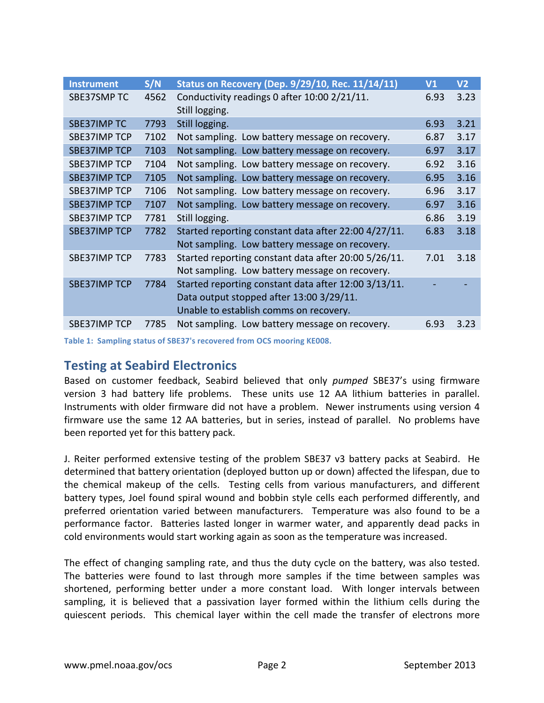| <b>Instrument</b>   | S/N  | Status on Recovery (Dep. 9/29/10, Rec. 11/14/11)     | V <sub>1</sub> | V <sub>2</sub> |
|---------------------|------|------------------------------------------------------|----------------|----------------|
| SBE37SMP TC         | 4562 | Conductivity readings 0 after 10:00 2/21/11.         | 6.93           | 3.23           |
|                     |      | Still logging.                                       |                |                |
| <b>SBE37IMP TC</b>  | 7793 | Still logging.                                       | 6.93           | 3.21           |
| <b>SBE37IMP TCP</b> | 7102 | Not sampling. Low battery message on recovery.       | 6.87           | 3.17           |
| <b>SBE37IMP TCP</b> | 7103 | Not sampling. Low battery message on recovery.       | 6.97           | 3.17           |
| <b>SBE37IMP TCP</b> | 7104 | Not sampling. Low battery message on recovery.       | 6.92           | 3.16           |
| <b>SBE37IMP TCP</b> | 7105 | Not sampling. Low battery message on recovery.       | 6.95           | 3.16           |
| <b>SBE37IMP TCP</b> | 7106 | Not sampling. Low battery message on recovery.       | 6.96           | 3.17           |
| <b>SBE37IMP TCP</b> | 7107 | Not sampling. Low battery message on recovery.       | 6.97           | 3.16           |
| <b>SBE37IMP TCP</b> | 7781 | Still logging.                                       | 6.86           | 3.19           |
| <b>SBE37IMP TCP</b> | 7782 | Started reporting constant data after 22:00 4/27/11. | 6.83           | 3.18           |
|                     |      | Not sampling. Low battery message on recovery.       |                |                |
| <b>SBE37IMP TCP</b> | 7783 | Started reporting constant data after 20:00 5/26/11. | 7.01           | 3.18           |
|                     |      | Not sampling. Low battery message on recovery.       |                |                |
| <b>SBE37IMP TCP</b> | 7784 | Started reporting constant data after 12:00 3/13/11. |                |                |
|                     |      | Data output stopped after 13:00 3/29/11.             |                |                |
|                     |      | Unable to establish comms on recovery.               |                |                |
| SBE37IMP TCP        | 7785 | Not sampling. Low battery message on recovery.       | 6.93           | 3.23           |

Table 1: Sampling status of SBE37's recovered from OCS mooring KE008.

## **Testing at Seabird Electronics**

Based on customer feedback, Seabird believed that only *pumped* SBE37's using firmware version 3 had battery life problems. These units use 12 AA lithium batteries in parallel. Instruments with older firmware did not have a problem. Newer instruments using version 4 firmware use the same 12 AA batteries, but in series, instead of parallel. No problems have been reported yet for this battery pack.

J. Reiter performed extensive testing of the problem SBE37 v3 battery packs at Seabird. He determined that battery orientation (deployed button up or down) affected the lifespan, due to the chemical makeup of the cells. Testing cells from various manufacturers, and different battery types, Joel found spiral wound and bobbin style cells each performed differently, and preferred orientation varied between manufacturers. Temperature was also found to be a performance factor. Batteries lasted longer in warmer water, and apparently dead packs in cold environments would start working again as soon as the temperature was increased.

The effect of changing sampling rate, and thus the duty cycle on the battery, was also tested. The batteries were found to last through more samples if the time between samples was shortened, performing better under a more constant load. With longer intervals between sampling, it is believed that a passivation layer formed within the lithium cells during the quiescent periods. This chemical layer within the cell made the transfer of electrons more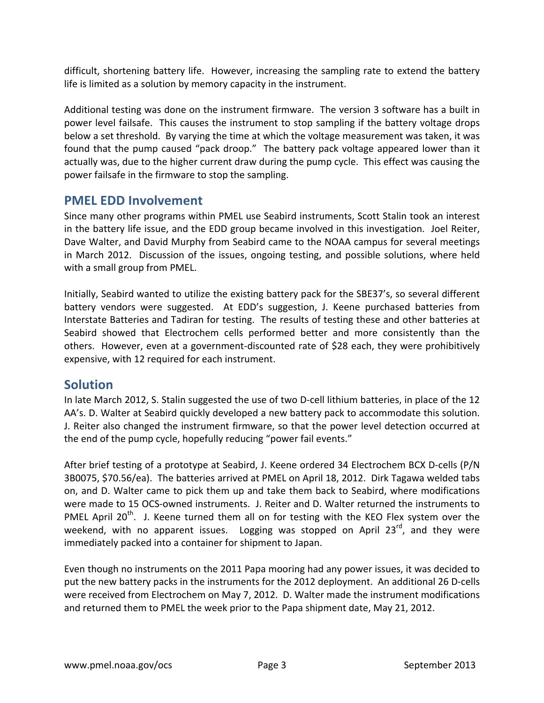difficult, shortening battery life. However, increasing the sampling rate to extend the battery life is limited as a solution by memory capacity in the instrument.

Additional testing was done on the instrument firmware. The version 3 software has a built in power level failsafe. This causes the instrument to stop sampling if the battery voltage drops below a set threshold. By varying the time at which the voltage measurement was taken, it was found that the pump caused "pack droop." The battery pack voltage appeared lower than it actually was, due to the higher current draw during the pump cycle. This effect was causing the power failsafe in the firmware to stop the sampling.

## **PMEL EDD Involvement**

Since many other programs within PMEL use Seabird instruments, Scott Stalin took an interest in the battery life issue, and the EDD group became involved in this investigation. Joel Reiter, Dave Walter, and David Murphy from Seabird came to the NOAA campus for several meetings in March 2012. Discussion of the issues, ongoing testing, and possible solutions, where held with a small group from PMEL.

Initially, Seabird wanted to utilize the existing battery pack for the SBE37's, so several different battery vendors were suggested. At EDD's suggestion, J. Keene purchased batteries from Interstate Batteries and Tadiran for testing. The results of testing these and other batteries at Seabird showed that Electrochem cells performed better and more consistently than the others. However, even at a government-discounted rate of \$28 each, they were prohibitively expensive, with 12 required for each instrument.

## **Solution**

In late March 2012, S. Stalin suggested the use of two D-cell lithium batteries, in place of the 12 AA's. D. Walter at Seabird quickly developed a new battery pack to accommodate this solution. J. Reiter also changed the instrument firmware, so that the power level detection occurred at the end of the pump cycle, hopefully reducing "power fail events."

After brief testing of a prototype at Seabird, J. Keene ordered 34 Electrochem BCX D-cells (P/N) 3B0075, \$70.56/ea). The batteries arrived at PMEL on April 18, 2012. Dirk Tagawa welded tabs on, and D. Walter came to pick them up and take them back to Seabird, where modifications were made to 15 OCS-owned instruments. J. Reiter and D. Walter returned the instruments to PMEL April 20<sup>th</sup>. J. Keene turned them all on for testing with the KEO Flex system over the weekend, with no apparent issues. Logging was stopped on April 23<sup>rd</sup>, and they were immediately packed into a container for shipment to Japan.

Even though no instruments on the 2011 Papa mooring had any power issues, it was decided to put the new battery packs in the instruments for the 2012 deployment. An additional 26 D-cells were received from Electrochem on May 7, 2012. D. Walter made the instrument modifications and returned them to PMEL the week prior to the Papa shipment date, May 21, 2012.